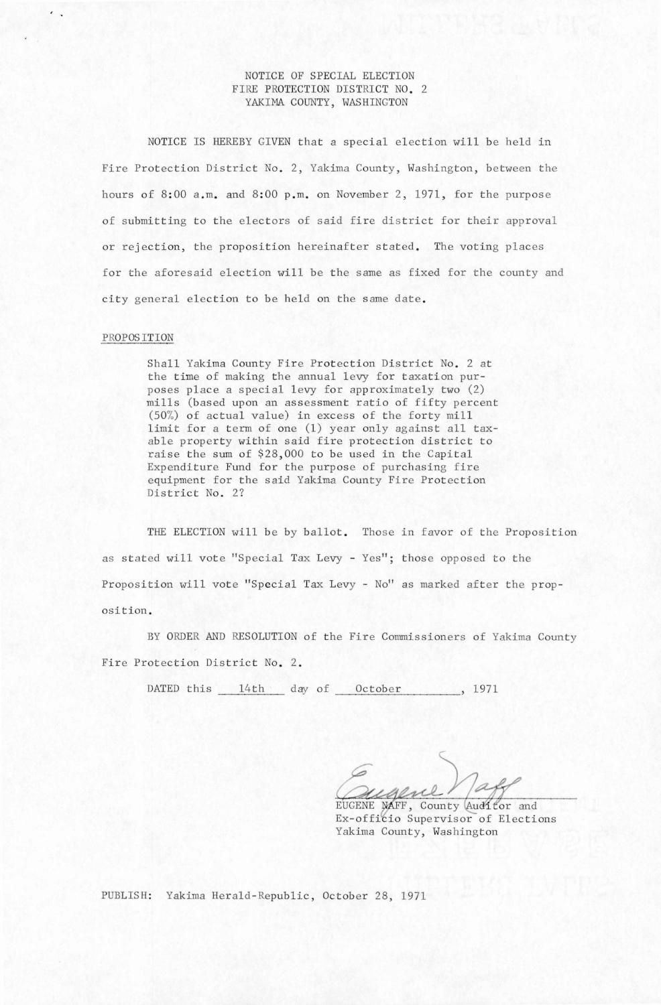# NOTICE OF SPECIAL ELECTION FIRE PROTECTION DISTRICT NO. 2 YAKIMA COUNTY, WASHINGTON

NOTICE IS HEREBY GIVEN that a special election will be held in Fire Protection District No. 2, Yakima County, Washington, between the hours of 8:00 a.m. and 8:00 p.m. on November 2, 1971, for the purpose of submitting to the electors of said fire district for their approval or rejection, the proposition hereinafter stated. The voting places for the aforesaid election will be the same as fixed for the county and city general election to be held on the same date.

### PROPOSITION

Shall Yakima County Fire Protection District No. 2 at the time of making the annual levy for taxation purposes place a special levy for approximately two (2) mills (based upon an assessment ratio of fifty percent (50%) of actual value) in excess of the forty mill limit for a term of one (1) year only against all taxable property within said fire protection district to raise the sum of \$28,000 to be used in the Capital Expenditure Fund for the purpose of purchasing fire equipment for the said Yakima County Fire Protection District No. 2?

THE ELECTION will be by ballot. Those in favor of the Proposition as stated will vote "Special Tax Levy - Yes"; those opposed to the Proposition will vote "Special Tax Levy - No" as marked after the proposition.

BY ORDER AND RESOLUTION of the Fire Commissioners of Yakima County Fire Protection District No. 2.

DATED this 14th day of October , 1971

EUGENE NAFF, County Auditor and Ex-officio Supervisor of Elections Yakima County, Washington

PUBLISH: Yakima Herald-Republic, October 28, 1971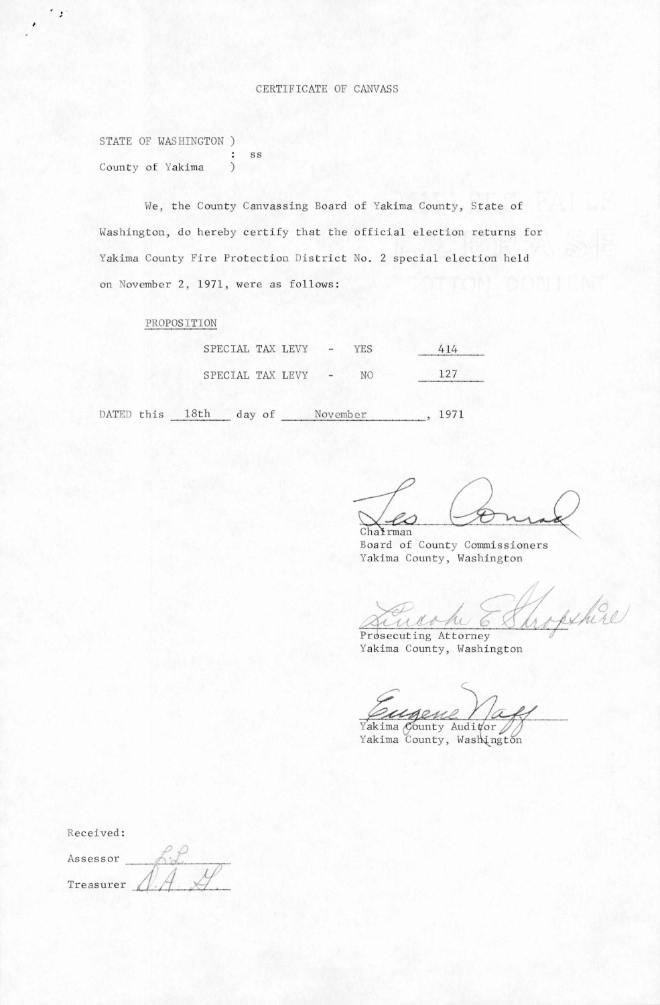STATE OF WASHINGTON )  $\begin{matrix} \cdot & s s \\ 0 & 0 \end{matrix}$ County of Yakima

•

 $\cdot$ ,

We, the County Canvassing Board of Yakima County, State of Washington, do hereby certify that the official election returns for Yakima County Fire Protection District No. 2 special election held on November 2, 1971, were as follows:

### PROPOSITION

| SPECIAL TAX LEVY |  | $\rightarrow$ | YES. | 414 |
|------------------|--|---------------|------|-----|
| SPECIAL TAX LEVY |  |               | NO   | 127 |

DATED this 18th day of November, 1971

Chairman Board of County Commissioners Yakima County, Washington

opetice

Prosecuting Attorney Yakima County, Washington

Pugene //a

Yakima County, Washington

Received:

Assessor Treasurer